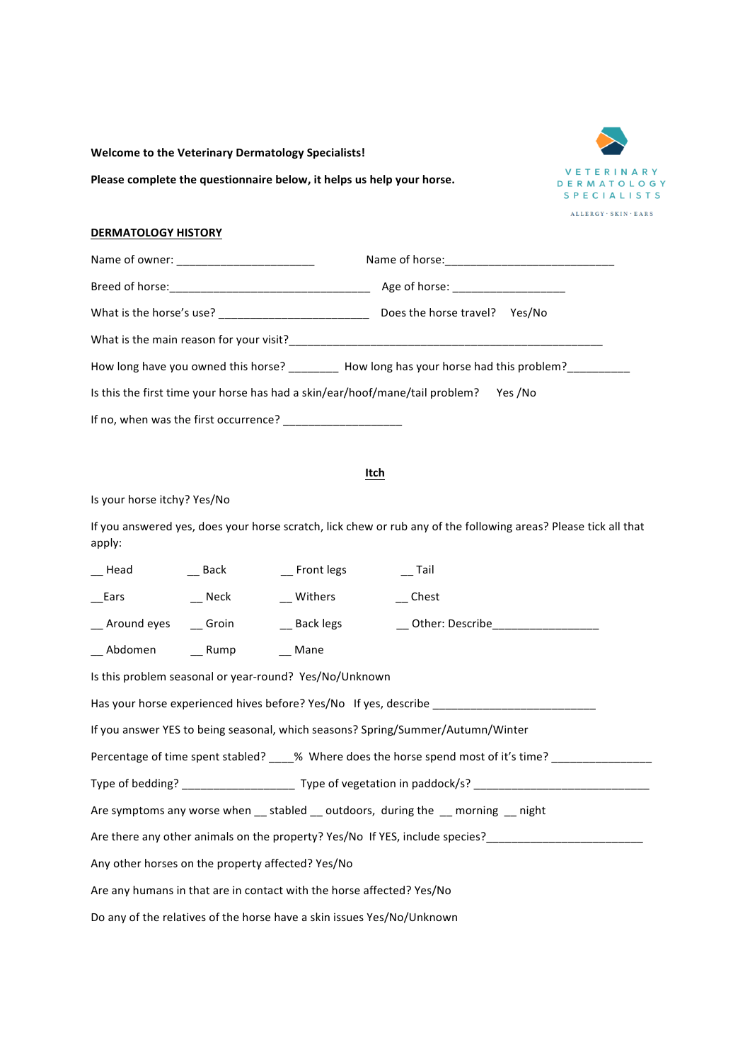**Welcome to the Veterinary Dermatology Specialists!** 

Please complete the questionnaire below, it helps us help your horse.



## **DERMATOLOGY HISTORY**

|                                                                              | Age of horse: ____________________                                            |  |  |
|------------------------------------------------------------------------------|-------------------------------------------------------------------------------|--|--|
|                                                                              | Does the horse travel? Yes/No                                                 |  |  |
|                                                                              |                                                                               |  |  |
|                                                                              | How long have you owned this horse? How long has your horse had this problem? |  |  |
| Is this the first time your horse has had a skin/ear/hoof/mane/tail problem? | Yes /No                                                                       |  |  |
| If no, when was the first occurrence?                                        |                                                                               |  |  |

## **Itch**

Is your horse itchy? Yes/No

If you answered yes, does your horse scratch, lick chew or rub any of the following areas? Please tick all that apply:

| Head                                                                                   | __ Back                         | __ Front legs                                   | Tail                                                                                         |  |  |
|----------------------------------------------------------------------------------------|---------------------------------|-------------------------------------------------|----------------------------------------------------------------------------------------------|--|--|
|                                                                                        |                                 | __Ears ___________Neck ________________ Withers | $\sqrt{ }$ Chest                                                                             |  |  |
|                                                                                        |                                 |                                                 | __ Around eyes ___ Groin ____ _ _ Back legs ____ ___ _ _ Other: Describe____________________ |  |  |
|                                                                                        | __ Abdomen ___ Rump ___ __ Mane |                                                 |                                                                                              |  |  |
| Is this problem seasonal or year-round? Yes/No/Unknown                                 |                                 |                                                 |                                                                                              |  |  |
| Has your horse experienced hives before? Yes/No If yes, describe ________________      |                                 |                                                 |                                                                                              |  |  |
| If you answer YES to being seasonal, which seasons? Spring/Summer/Autumn/Winter        |                                 |                                                 |                                                                                              |  |  |
| Percentage of time spent stabled? ____% Where does the horse spend most of it's time?  |                                 |                                                 |                                                                                              |  |  |
|                                                                                        |                                 |                                                 |                                                                                              |  |  |
| Are symptoms any worse when ___ stabled ___ outdoors, during the ___ morning ___ night |                                 |                                                 |                                                                                              |  |  |
| Are there any other animals on the property? Yes/No If YES, include species?           |                                 |                                                 |                                                                                              |  |  |
| Any other horses on the property affected? Yes/No                                      |                                 |                                                 |                                                                                              |  |  |
| Are any humans in that are in contact with the horse affected? Yes/No                  |                                 |                                                 |                                                                                              |  |  |
| Do any of the relatives of the horse have a skin issues Yes/No/Unknown                 |                                 |                                                 |                                                                                              |  |  |